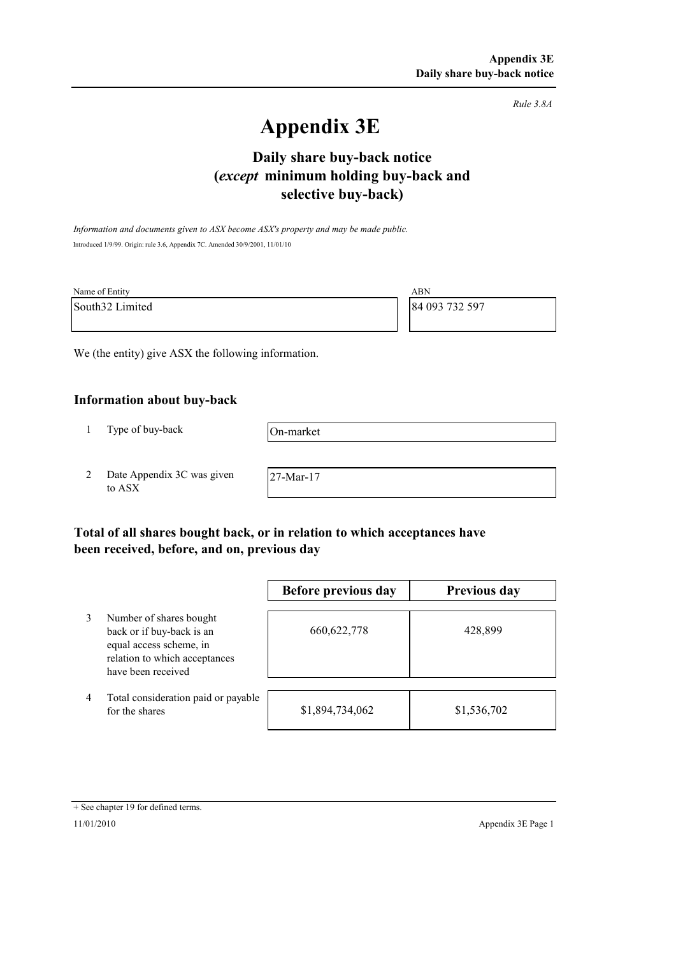*Rule 3.8A*

# **Appendix 3E**

## **selective buy-back) Daily share buy-back notice (***except* **minimum holding buy-back and**

*Information and documents given to ASX become ASX's property and may be made public.* Introduced 1/9/99. Origin: rule 3.6, Appendix 7C. Amended 30/9/2001, 11/01/10

| Name of Entity  | ABN            |
|-----------------|----------------|
| South32 Limited | 84 093 732 597 |

We (the entity) give ASX the following information.

### **Information about buy-back**

1 Type of buy-back

On-market

2 Date Appendix 3C was given to ASX

27-Mar-17

## **Total of all shares bought back, or in relation to which acceptances have been received, before, and on, previous day**

|   |                                                                                                                                        | Before previous day | Previous day |
|---|----------------------------------------------------------------------------------------------------------------------------------------|---------------------|--------------|
| 3 | Number of shares bought<br>back or if buy-back is an<br>equal access scheme, in<br>relation to which acceptances<br>have been received | 660, 622, 778       | 428,899      |
| 4 | Total consideration paid or payable<br>for the shares                                                                                  | \$1,894,734,062     | \$1,536,702  |

#### + See chapter 19 for defined terms.